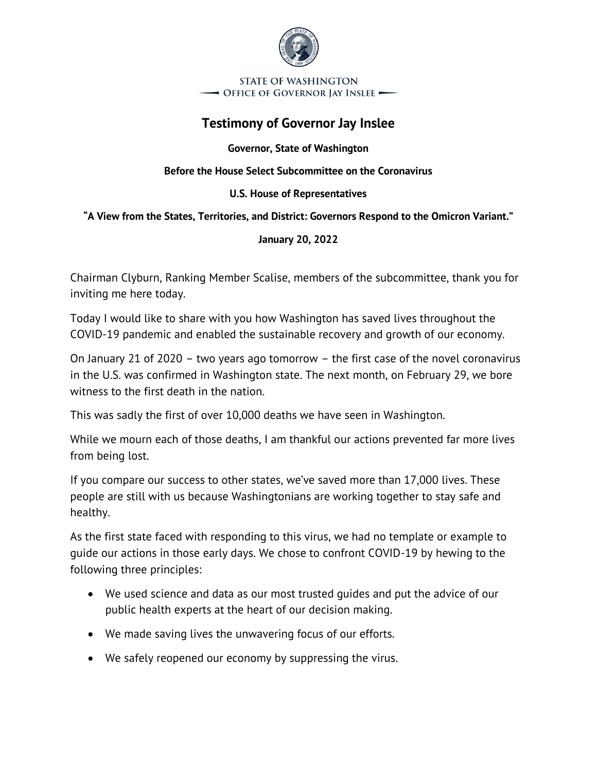

**STATE OF WASHINGTON** - Office of Governor Jay Inslee —

# **Testimony of Governor Jay Inslee**

**Governor, State of Washington**

**Before the House Select Subcommittee on the Coronavirus**

#### **U.S. House of Representatives**

#### **"A View from the States, Territories, and District: Governors Respond to the Omicron Variant."**

#### **January 20, 2022**

Chairman Clyburn, Ranking Member Scalise, members of the subcommittee, thank you for inviting me here today.

Today I would like to share with you how Washington has saved lives throughout the COVID-19 pandemic and enabled the sustainable recovery and growth of our economy.

On January 21 of 2020 – two years ago tomorrow – the first case of the novel coronavirus in the U.S. was confirmed in Washington state. The next month, on February 29, we bore witness to the first death in the nation.

This was sadly the first of over 10,000 deaths we have seen in Washington.

While we mourn each of those deaths, I am thankful our actions prevented far more lives from being lost.

If you compare our success to other states, we've saved more than 17,000 lives. These people are still with us because Washingtonians are working together to stay safe and healthy.

As the first state faced with responding to this virus, we had no template or example to guide our actions in those early days. We chose to confront COVID-19 by hewing to the following three principles:

- We used science and data as our most trusted guides and put the advice of our public health experts at the heart of our decision making.
- We made saving lives the unwavering focus of our efforts.
- We safely reopened our economy by suppressing the virus.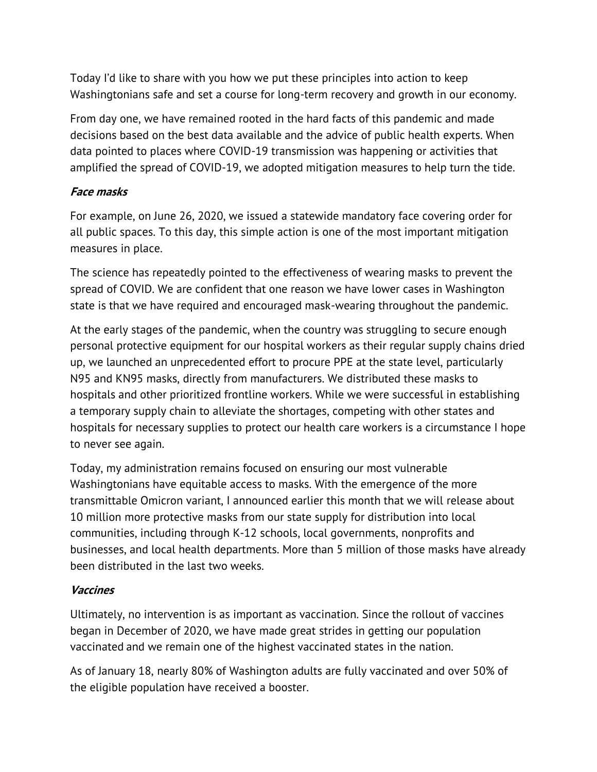Today I'd like to share with you how we put these principles into action to keep Washingtonians safe and set a course for long-term recovery and growth in our economy.

From day one, we have remained rooted in the hard facts of this pandemic and made decisions based on the best data available and the advice of public health experts. When data pointed to places where COVID-19 transmission was happening or activities that amplified the spread of COVID-19, we adopted mitigation measures to help turn the tide.

## **Face masks**

For example, on June 26, 2020, we issued a statewide mandatory face covering order for all public spaces. To this day, this simple action is one of the most important mitigation measures in place.

The science has repeatedly pointed to the effectiveness of wearing masks to prevent the spread of COVID. We are confident that one reason we have lower cases in Washington state is that we have required and encouraged mask-wearing throughout the pandemic.

At the early stages of the pandemic, when the country was struggling to secure enough personal protective equipment for our hospital workers as their regular supply chains dried up, we launched an unprecedented effort to procure PPE at the state level, particularly N95 and KN95 masks, directly from manufacturers. We distributed these masks to hospitals and other prioritized frontline workers. While we were successful in establishing a temporary supply chain to alleviate the shortages, competing with other states and hospitals for necessary supplies to protect our health care workers is a circumstance I hope to never see again.

Today, my administration remains focused on ensuring our most vulnerable Washingtonians have equitable access to masks. With the emergence of the more transmittable Omicron variant, I announced earlier this month that we will release about 10 million more protective masks from our state supply for distribution into local communities, including through K-12 schools, local governments, nonprofits and businesses, and local health departments. More than 5 million of those masks have already been distributed in the last two weeks.

#### **Vaccines**

Ultimately, no intervention is as important as vaccination. Since the rollout of vaccines began in December of 2020, we have made great strides in getting our population vaccinated and we remain one of the highest vaccinated states in the nation.

As of January 18, nearly 80% of Washington adults are fully vaccinated and over 50% of the eligible population have received a booster.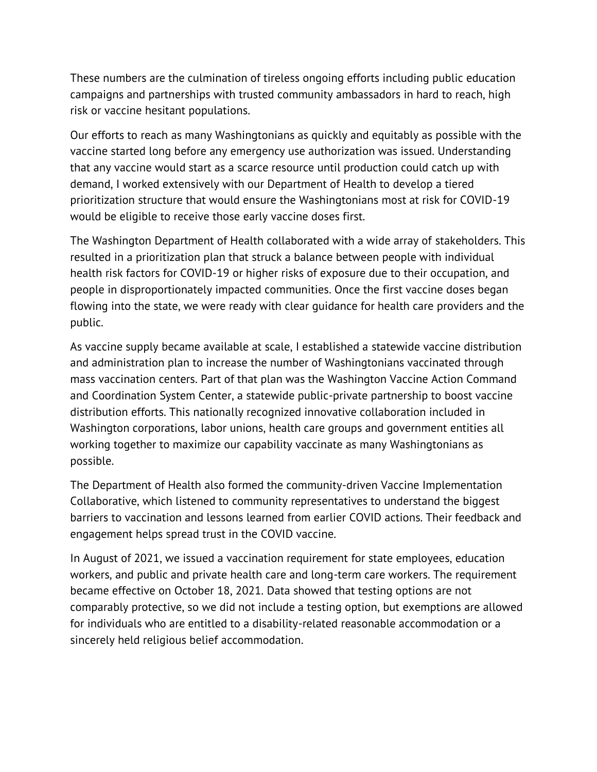These numbers are the culmination of tireless ongoing efforts including public education campaigns and partnerships with trusted community ambassadors in hard to reach, high risk or vaccine hesitant populations.

Our efforts to reach as many Washingtonians as quickly and equitably as possible with the vaccine started long before any emergency use authorization was issued. Understanding that any vaccine would start as a scarce resource until production could catch up with demand, I worked extensively with our Department of Health to develop a tiered prioritization structure that would ensure the Washingtonians most at risk for COVID-19 would be eligible to receive those early vaccine doses first.

The Washington Department of Health collaborated with a wide array of stakeholders. This resulted in a prioritization plan that struck a balance between people with individual health risk factors for COVID-19 or higher risks of exposure due to their occupation, and people in disproportionately impacted communities. Once the first vaccine doses began flowing into the state, we were ready with clear guidance for health care providers and the public.

As vaccine supply became available at scale, I established a statewide vaccine distribution and administration plan to increase the number of Washingtonians vaccinated through mass vaccination centers. Part of that plan was the Washington Vaccine Action Command and Coordination System Center, a statewide public-private partnership to boost vaccine distribution efforts. This nationally recognized innovative collaboration included in Washington corporations, labor unions, health care groups and government entities all working together to maximize our capability vaccinate as many Washingtonians as possible.

The Department of Health also formed the community-driven Vaccine Implementation Collaborative, which listened to community representatives to understand the biggest barriers to vaccination and lessons learned from earlier COVID actions. Their feedback and engagement helps spread trust in the COVID vaccine.

In August of 2021, we issued a vaccination requirement for state employees, education workers, and public and private health care and long-term care workers. The requirement became effective on October 18, 2021. Data showed that testing options are not comparably protective, so we did not include a testing option, but exemptions are allowed for individuals who are entitled to a disability-related reasonable accommodation or a sincerely held religious belief accommodation.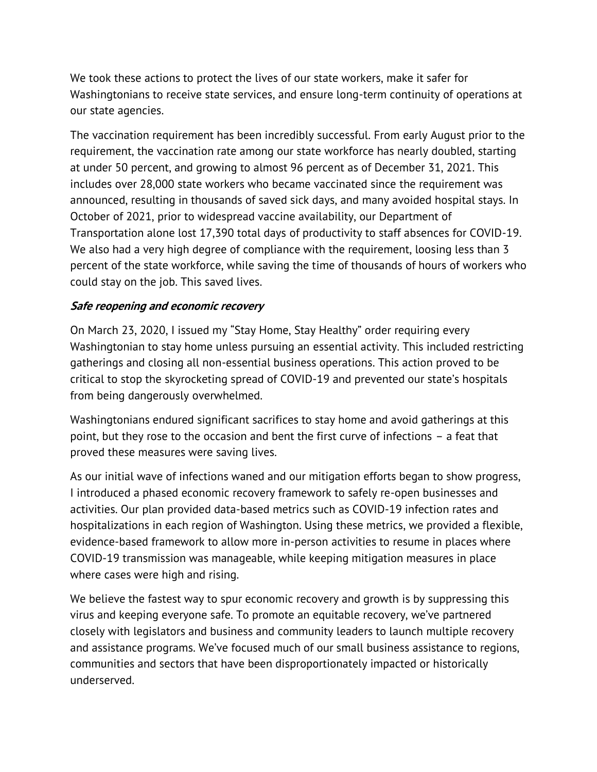We took these actions to protect the lives of our state workers, make it safer for Washingtonians to receive state services, and ensure long-term continuity of operations at our state agencies.

The vaccination requirement has been incredibly successful. From early August prior to the requirement, the vaccination rate among our state workforce has nearly doubled, starting at under 50 percent, and growing to almost 96 percent as of December 31, 2021. This includes over 28,000 state workers who became vaccinated since the requirement was announced, resulting in thousands of saved sick days, and many avoided hospital stays. In October of 2021, prior to widespread vaccine availability, our Department of Transportation alone lost 17,390 total days of productivity to staff absences for COVID-19. We also had a very high degree of compliance with the requirement, loosing less than 3 percent of the state workforce, while saving the time of thousands of hours of workers who could stay on the job. This saved lives.

### **Safe reopening and economic recovery**

On March 23, 2020, I issued my "Stay Home, Stay Healthy" order requiring every Washingtonian to stay home unless pursuing an essential activity. This included restricting gatherings and closing all non-essential business operations. This action proved to be critical to stop the skyrocketing spread of COVID-19 and prevented our state's hospitals from being dangerously overwhelmed.

Washingtonians endured significant sacrifices to stay home and avoid gatherings at this point, but they rose to the occasion and bent the first curve of infections – a feat that proved these measures were saving lives.

As our initial wave of infections waned and our mitigation efforts began to show progress, I introduced a phased economic recovery framework to safely re-open businesses and activities. Our plan provided data-based metrics such as COVID-19 infection rates and hospitalizations in each region of Washington. Using these metrics, we provided a flexible, evidence-based framework to allow more in-person activities to resume in places where COVID-19 transmission was manageable, while keeping mitigation measures in place where cases were high and rising.

We believe the fastest way to spur economic recovery and growth is by suppressing this virus and keeping everyone safe. To promote an equitable recovery, we've partnered closely with legislators and business and community leaders to launch multiple recovery and assistance programs. We've focused much of our small business assistance to regions, communities and sectors that have been disproportionately impacted or historically underserved.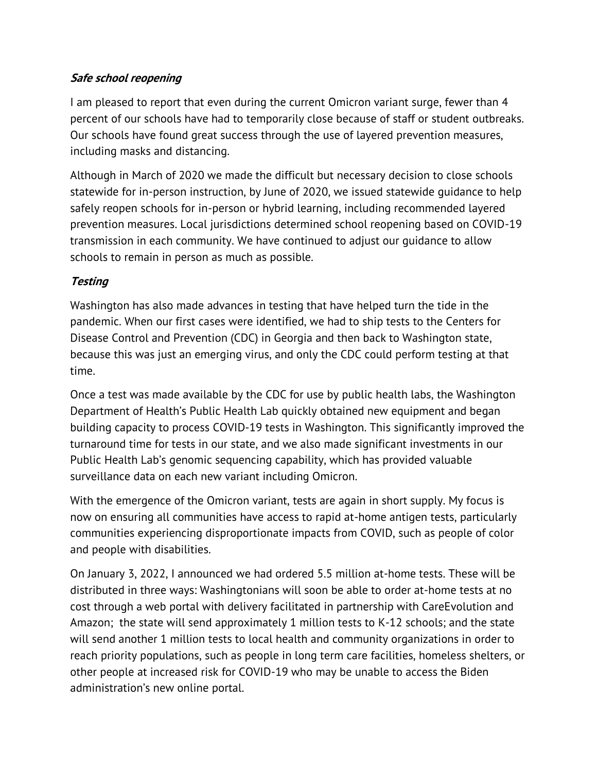## **Safe school reopening**

I am pleased to report that even during the current Omicron variant surge, fewer than 4 percent of our schools have had to temporarily close because of staff or student outbreaks. Our schools have found great success through the use of layered prevention measures, including masks and distancing.

Although in March of 2020 we made the difficult but necessary decision to close schools statewide for in-person instruction, by June of 2020, we issued statewide guidance to help safely reopen schools for in-person or hybrid learning, including recommended layered prevention measures. Local jurisdictions determined school reopening based on COVID-19 transmission in each community. We have continued to adjust our guidance to allow schools to remain in person as much as possible.

## **Testing**

Washington has also made advances in testing that have helped turn the tide in the pandemic. When our first cases were identified, we had to ship tests to the Centers for Disease Control and Prevention (CDC) in Georgia and then back to Washington state, because this was just an emerging virus, and only the CDC could perform testing at that time.

Once a test was made available by the CDC for use by public health labs, the Washington Department of Health's Public Health Lab quickly obtained new equipment and began building capacity to process COVID-19 tests in Washington. This significantly improved the turnaround time for tests in our state, and we also made significant investments in our Public Health Lab's genomic sequencing capability, which has provided valuable surveillance data on each new variant including Omicron.

With the emergence of the Omicron variant, tests are again in short supply. My focus is now on ensuring all communities have access to rapid at-home antigen tests, particularly communities experiencing disproportionate impacts from COVID, such as people of color and people with disabilities.

On January 3, 2022, I announced we had ordered 5.5 million at-home tests. These will be distributed in three ways: Washingtonians will soon be able to order at-home tests at no cost through a web portal with delivery facilitated in partnership with CareEvolution and Amazon; the state will send approximately 1 million tests to K-12 schools; and the state will send another 1 million tests to local health and community organizations in order to reach priority populations, such as people in long term care facilities, homeless shelters, or other people at increased risk for COVID-19 who may be unable to access the Biden administration's new online portal.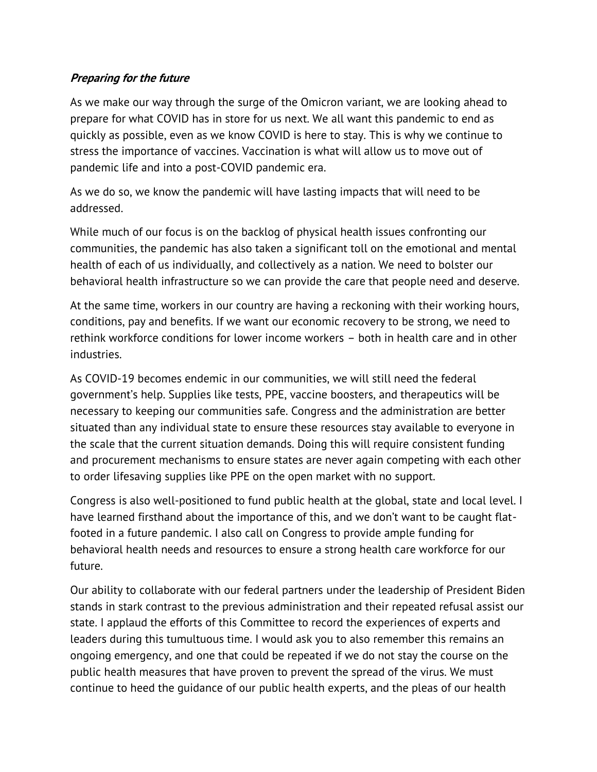#### **Preparing for the future**

As we make our way through the surge of the Omicron variant, we are looking ahead to prepare for what COVID has in store for us next. We all want this pandemic to end as quickly as possible, even as we know COVID is here to stay. This is why we continue to stress the importance of vaccines. Vaccination is what will allow us to move out of pandemic life and into a post-COVID pandemic era.

As we do so, we know the pandemic will have lasting impacts that will need to be addressed.

While much of our focus is on the backlog of physical health issues confronting our communities, the pandemic has also taken a significant toll on the emotional and mental health of each of us individually, and collectively as a nation. We need to bolster our behavioral health infrastructure so we can provide the care that people need and deserve.

At the same time, workers in our country are having a reckoning with their working hours, conditions, pay and benefits. If we want our economic recovery to be strong, we need to rethink workforce conditions for lower income workers – both in health care and in other industries.

As COVID-19 becomes endemic in our communities, we will still need the federal government's help. Supplies like tests, PPE, vaccine boosters, and therapeutics will be necessary to keeping our communities safe. Congress and the administration are better situated than any individual state to ensure these resources stay available to everyone in the scale that the current situation demands. Doing this will require consistent funding and procurement mechanisms to ensure states are never again competing with each other to order lifesaving supplies like PPE on the open market with no support.

Congress is also well-positioned to fund public health at the global, state and local level. I have learned firsthand about the importance of this, and we don't want to be caught flatfooted in a future pandemic. I also call on Congress to provide ample funding for behavioral health needs and resources to ensure a strong health care workforce for our future.

Our ability to collaborate with our federal partners under the leadership of President Biden stands in stark contrast to the previous administration and their repeated refusal assist our state. I applaud the efforts of this Committee to record the experiences of experts and leaders during this tumultuous time. I would ask you to also remember this remains an ongoing emergency, and one that could be repeated if we do not stay the course on the public health measures that have proven to prevent the spread of the virus. We must continue to heed the guidance of our public health experts, and the pleas of our health